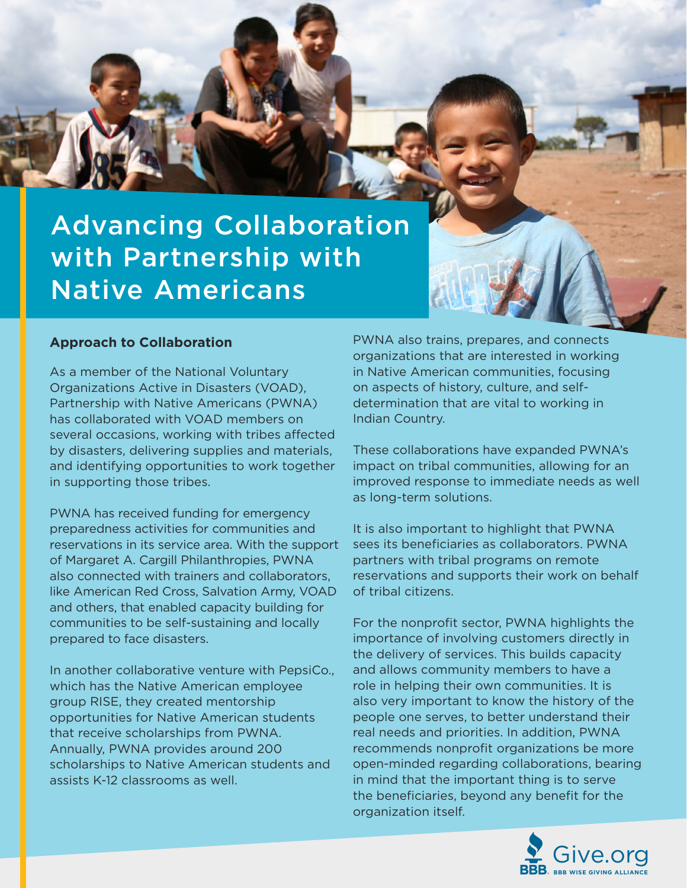

### **Approach to Collaboration**

As a member of the National Voluntary Organizations Active in Disasters (VOAD), Partnership with Native Americans (PWNA) has collaborated with VOAD members on several occasions, working with tribes affected by disasters, delivering supplies and materials, and identifying opportunities to work together in supporting those tribes.

PWNA has received funding for emergency preparedness activities for communities and reservations in its service area. With the support of Margaret A. Cargill Philanthropies, PWNA also connected with trainers and collaborators, like American Red Cross, Salvation Army, VOAD and others, that enabled capacity building for communities to be self-sustaining and locally prepared to face disasters.

In another collaborative venture with PepsiCo., which has the Native American employee group RISE, they created mentorship opportunities for Native American students that receive scholarships from PWNA. Annually, PWNA provides around 200 scholarships to Native American students and assists K-12 classrooms as well.

PWNA also trains, prepares, and connects organizations that are interested in working in Native American communities, focusing on aspects of history, culture, and selfdetermination that are vital to working in Indian Country.

These collaborations have expanded PWNA's impact on tribal communities, allowing for an improved response to immediate needs as well as long-term solutions.

It is also important to highlight that PWNA sees its beneficiaries as collaborators. PWNA partners with tribal programs on remote reservations and supports their work on behalf of tribal citizens.

For the nonprofit sector, PWNA highlights the importance of involving customers directly in the delivery of services. This builds capacity and allows community members to have a role in helping their own communities. It is also very important to know the history of the people one serves, to better understand their real needs and priorities. In addition, PWNA recommends nonprofit organizations be more open-minded regarding collaborations, bearing in mind that the important thing is to serve the beneficiaries, beyond any benefit for the organization itself.

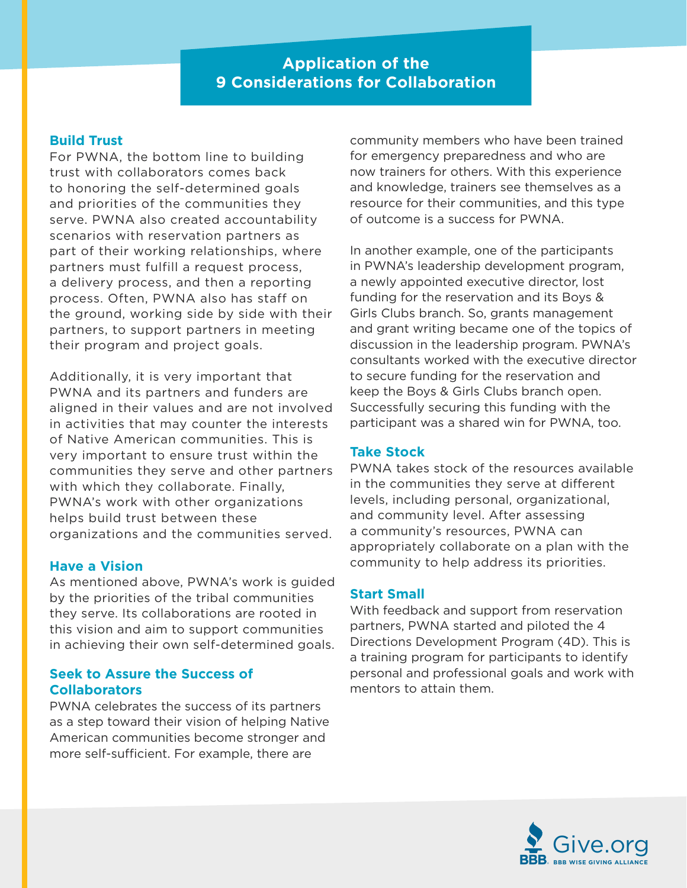# **Application of the 9 Considerations for Collaboration**

## **Build Trust**

For PWNA, the bottom line to building trust with collaborators comes back to honoring the self-determined goals and priorities of the communities they serve. PWNA also created accountability scenarios with reservation partners as part of their working relationships, where partners must fulfill a request process, a delivery process, and then a reporting process. Often, PWNA also has staff on the ground, working side by side with their partners, to support partners in meeting their program and project goals.

Additionally, it is very important that PWNA and its partners and funders are aligned in their values and are not involved in activities that may counter the interests of Native American communities. This is very important to ensure trust within the communities they serve and other partners with which they collaborate. Finally, PWNA's work with other organizations helps build trust between these organizations and the communities served.

### **Have a Vision**

As mentioned above, PWNA's work is guided by the priorities of the tribal communities they serve. Its collaborations are rooted in this vision and aim to support communities in achieving their own self-determined goals.

## **Seek to Assure the Success of Collaborators**

PWNA celebrates the success of its partners as a step toward their vision of helping Native American communities become stronger and more self-sufficient. For example, there are

community members who have been trained for emergency preparedness and who are now trainers for others. With this experience and knowledge, trainers see themselves as a resource for their communities, and this type of outcome is a success for PWNA.

In another example, one of the participants in PWNA's leadership development program, a newly appointed executive director, lost funding for the reservation and its Boys & Girls Clubs branch. So, grants management and grant writing became one of the topics of discussion in the leadership program. PWNA's consultants worked with the executive director to secure funding for the reservation and keep the Boys & Girls Clubs branch open. Successfully securing this funding with the participant was a shared win for PWNA, too.

## **Take Stock**

PWNA takes stock of the resources available in the communities they serve at different levels, including personal, organizational, and community level. After assessing a community's resources, PWNA can appropriately collaborate on a plan with the community to help address its priorities.

### **Start Small**

With feedback and support from reservation partners, PWNA started and piloted the 4 Directions Development Program (4D). This is a training program for participants to identify personal and professional goals and work with mentors to attain them.